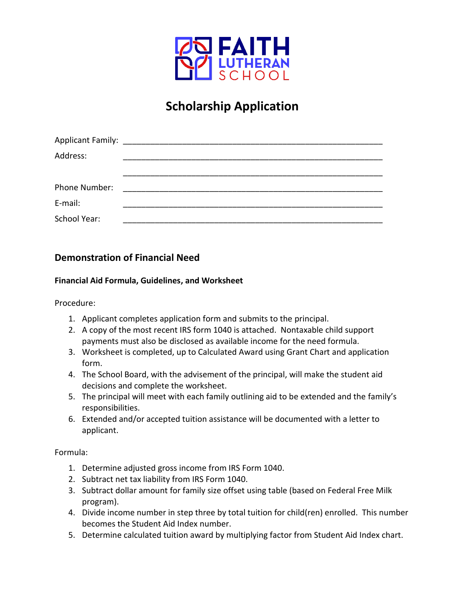

# **Scholarship Application**

| Address:      |  |  |
|---------------|--|--|
|               |  |  |
| Phone Number: |  |  |
| E-mail:       |  |  |
| School Year:  |  |  |

### **Demonstration of Financial Need**

#### **Financial Aid Formula, Guidelines, and Worksheet**

Procedure:

- 1. Applicant completes application form and submits to the principal.
- 2. A copy of the most recent IRS form 1040 is attached. Nontaxable child support payments must also be disclosed as available income for the need formula.
- 3. Worksheet is completed, up to Calculated Award using Grant Chart and application form.
- 4. The School Board, with the advisement of the principal, will make the student aid decisions and complete the worksheet.
- 5. The principal will meet with each family outlining aid to be extended and the family's responsibilities.
- 6. Extended and/or accepted tuition assistance will be documented with a letter to applicant.

Formula:

- 1. Determine adjusted gross income from IRS Form 1040.
- 2. Subtract net tax liability from IRS Form 1040.
- 3. Subtract dollar amount for family size offset using table (based on Federal Free Milk program).
- 4. Divide income number in step three by total tuition for child(ren) enrolled. This number becomes the Student Aid Index number.
- 5. Determine calculated tuition award by multiplying factor from Student Aid Index chart.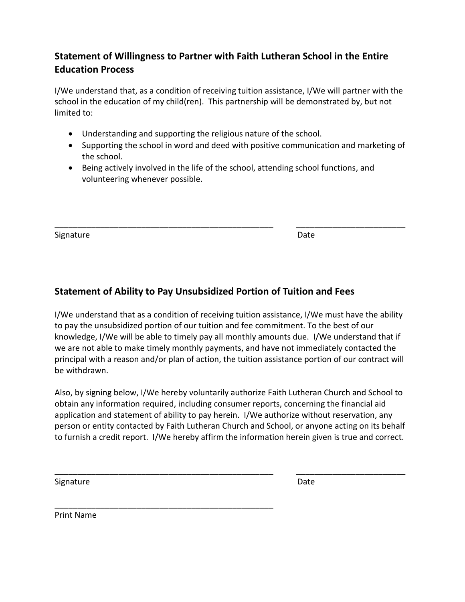## **Statement of Willingness to Partner with Faith Lutheran School in the Entire Education Process**

I/We understand that, as a condition of receiving tuition assistance, I/We will partner with the school in the education of my child(ren). This partnership will be demonstrated by, but not limited to:

- Understanding and supporting the religious nature of the school.
- Supporting the school in word and deed with positive communication and marketing of the school.
- Being actively involved in the life of the school, attending school functions, and volunteering whenever possible.

\_\_\_\_\_\_\_\_\_\_\_\_\_\_\_\_\_\_\_\_\_\_\_\_\_\_\_\_\_\_\_\_\_\_\_\_\_\_\_\_\_\_\_\_\_\_\_\_ \_\_\_\_\_\_\_\_\_\_\_\_\_\_\_\_\_\_\_\_\_\_\_\_

Signature Date

### **Statement of Ability to Pay Unsubsidized Portion of Tuition and Fees**

I/We understand that as a condition of receiving tuition assistance, I/We must have the ability to pay the unsubsidized portion of our tuition and fee commitment. To the best of our knowledge, I/We will be able to timely pay all monthly amounts due. I/We understand that if we are not able to make timely monthly payments, and have not immediately contacted the principal with a reason and/or plan of action, the tuition assistance portion of our contract will be withdrawn.

Also, by signing below, I/We hereby voluntarily authorize Faith Lutheran Church and School to obtain any information required, including consumer reports, concerning the financial aid application and statement of ability to pay herein. I/We authorize without reservation, any person or entity contacted by Faith Lutheran Church and School, or anyone acting on its behalf to furnish a credit report. I/We hereby affirm the information herein given is true and correct.

\_\_\_\_\_\_\_\_\_\_\_\_\_\_\_\_\_\_\_\_\_\_\_\_\_\_\_\_\_\_\_\_\_\_\_\_\_\_\_\_\_\_\_\_\_\_\_\_ \_\_\_\_\_\_\_\_\_\_\_\_\_\_\_\_\_\_\_\_\_\_\_\_

\_\_\_\_\_\_\_\_\_\_\_\_\_\_\_\_\_\_\_\_\_\_\_\_\_\_\_\_\_\_\_\_\_\_\_\_\_\_\_\_\_\_\_\_\_\_\_\_

Signature Date

Print Name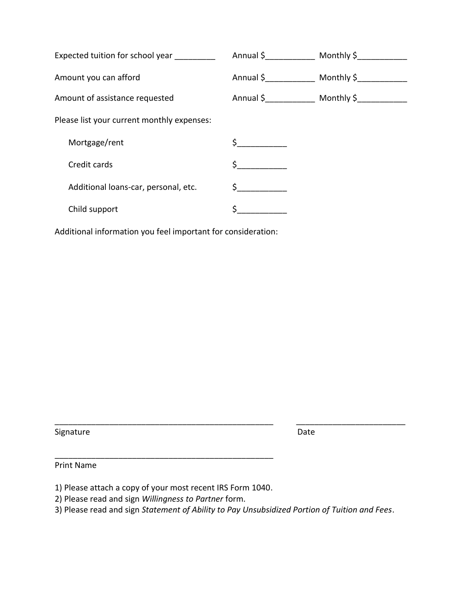| Expected tuition for school year           |         | Annual \$ Monthly \$                  |
|--------------------------------------------|---------|---------------------------------------|
| Amount you can afford                      |         | Annual \$ _______________ Monthly \$_ |
| Amount of assistance requested             |         | Annual \$ Monthly \$                  |
| Please list your current monthly expenses: |         |                                       |
| Mortgage/rent                              |         |                                       |
| Credit cards                               | $\zeta$ |                                       |
| Additional loans-car, personal, etc.       | $\zeta$ |                                       |
| Child support                              |         |                                       |

Additional information you feel important for consideration:

Signature Date Date Date

Print Name

1) Please attach a copy of your most recent IRS Form 1040.

\_\_\_\_\_\_\_\_\_\_\_\_\_\_\_\_\_\_\_\_\_\_\_\_\_\_\_\_\_\_\_\_\_\_\_\_\_\_\_\_\_\_\_\_\_\_\_\_

- 2) Please read and sign *Willingness to Partner* form.
- 3) Please read and sign *Statement of Ability to Pay Unsubsidized Portion of Tuition and Fees*.

\_\_\_\_\_\_\_\_\_\_\_\_\_\_\_\_\_\_\_\_\_\_\_\_\_\_\_\_\_\_\_\_\_\_\_\_\_\_\_\_\_\_\_\_\_\_\_\_ \_\_\_\_\_\_\_\_\_\_\_\_\_\_\_\_\_\_\_\_\_\_\_\_